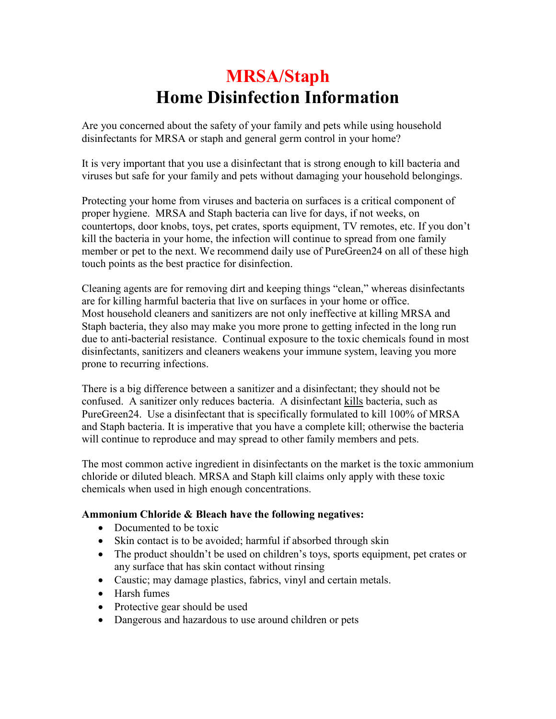## **MRSA/Staph Home Disinfection Information**

Are you concerned about the safety of your family and pets while using household disinfectants for MRSA or staph and general germ control in your home?

It is very important that you use a disinfectant that is strong enough to kill bacteria and viruses but safe for your family and pets without damaging your household belongings.

Protecting your home from viruses and bacteria on surfaces is a critical component of proper hygiene. MRSA and Staph bacteria can live for days, if not weeks, on countertops, door knobs, toys, pet crates, sports equipment, TV remotes, etc. If you don't kill the bacteria in your home, the infection will continue to spread from one family member or pet to the next. We recommend daily use of PureGreen24 on all of these high touch points as the best practice for disinfection.

Cleaning agents are for removing dirt and keeping things "clean," whereas disinfectants are for killing harmful bacteria that live on surfaces in your home or office. Most household cleaners and sanitizers are not only ineffective at killing MRSA and Staph bacteria, they also may make you more prone to getting infected in the long run due to anti-bacterial resistance. Continual exposure to the toxic chemicals found in most disinfectants, sanitizers and cleaners weakens your immune system, leaving you more prone to recurring infections.

There is a big difference between a sanitizer and a disinfectant; they should not be confused. A sanitizer only reduces bacteria. A disinfectant kills bacteria, such as PureGreen24. Use a disinfectant that is specifically formulated to kill 100% of MRSA and Staph bacteria. It is imperative that you have a complete kill; otherwise the bacteria will continue to reproduce and may spread to other family members and pets.

The most common active ingredient in disinfectants on the market is the toxic ammonium chloride or diluted bleach. MRSA and Staph kill claims only apply with these toxic chemicals when used in high enough concentrations.

## **Ammonium Chloride & Bleach have the following negatives:**

- Documented to be toxic
- Skin contact is to be avoided; harmful if absorbed through skin
- The product shouldn't be used on children's toys, sports equipment, pet crates or any surface that has skin contact without rinsing
- Caustic; may damage plastics, fabrics, vinyl and certain metals.
- Harsh fumes
- Protective gear should be used
- Dangerous and hazardous to use around children or pets